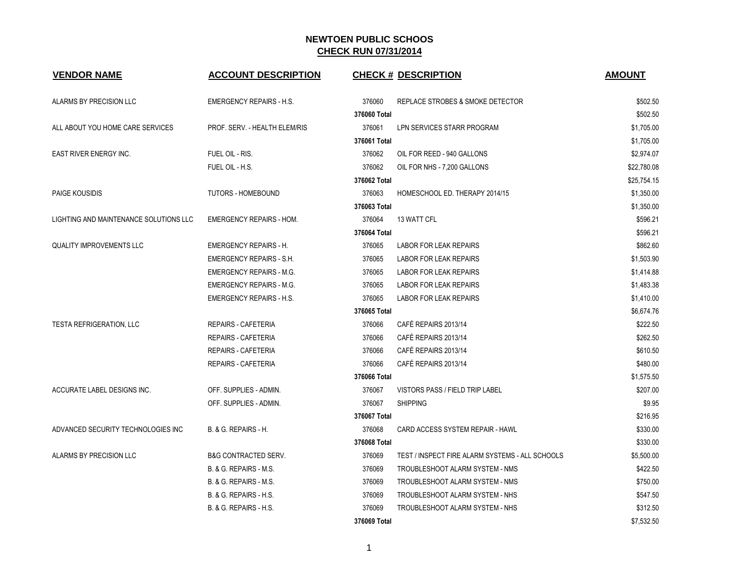| <b>VENDOR NAME</b>                     | <b>ACCOUNT DESCRIPTION</b>      |              | <b>CHECK # DESCRIPTION</b>                      | <b>AMOUNT</b> |
|----------------------------------------|---------------------------------|--------------|-------------------------------------------------|---------------|
| ALARMS BY PRECISION LLC                | <b>EMERGENCY REPAIRS - H.S.</b> | 376060       | REPLACE STROBES & SMOKE DETECTOR                | \$502.50      |
|                                        |                                 | 376060 Total |                                                 | \$502.50      |
| ALL ABOUT YOU HOME CARE SERVICES       | PROF. SERV. - HEALTH ELEM/RIS   | 376061       | LPN SERVICES STARR PROGRAM                      | \$1,705.00    |
|                                        |                                 | 376061 Total |                                                 | \$1,705.00    |
| <b>EAST RIVER ENERGY INC.</b>          | FUEL OIL - RIS.                 | 376062       | OIL FOR REED - 940 GALLONS                      | \$2,974.07    |
|                                        | FUEL OIL - H.S.                 | 376062       | OIL FOR NHS - 7,200 GALLONS                     | \$22,780.08   |
|                                        |                                 | 376062 Total |                                                 | \$25,754.15   |
| <b>PAIGE KOUSIDIS</b>                  | <b>TUTORS - HOMEBOUND</b>       | 376063       | HOMESCHOOL ED. THERAPY 2014/15                  | \$1,350.00    |
|                                        |                                 | 376063 Total |                                                 | \$1,350.00    |
| LIGHTING AND MAINTENANCE SOLUTIONS LLC | <b>EMERGENCY REPAIRS - HOM.</b> | 376064       | 13 WATT CFL                                     | \$596.21      |
|                                        |                                 | 376064 Total |                                                 | \$596.21      |
| <b>QUALITY IMPROVEMENTS LLC</b>        | <b>EMERGENCY REPAIRS - H.</b>   | 376065       | <b>LABOR FOR LEAK REPAIRS</b>                   | \$862.60      |
|                                        | <b>EMERGENCY REPAIRS - S.H.</b> | 376065       | <b>LABOR FOR LEAK REPAIRS</b>                   | \$1,503.90    |
|                                        | <b>EMERGENCY REPAIRS - M.G.</b> | 376065       | <b>LABOR FOR LEAK REPAIRS</b>                   | \$1,414.88    |
|                                        | <b>EMERGENCY REPAIRS - M.G.</b> | 376065       | <b>LABOR FOR LEAK REPAIRS</b>                   | \$1,483.38    |
|                                        | <b>EMERGENCY REPAIRS - H.S.</b> | 376065       | <b>LABOR FOR LEAK REPAIRS</b>                   | \$1,410.00    |
|                                        |                                 | 376065 Total |                                                 | \$6,674.76    |
| <b>TESTA REFRIGERATION, LLC</b>        | REPAIRS - CAFETERIA             | 376066       | CAFÉ REPAIRS 2013/14                            | \$222.50      |
|                                        | <b>REPAIRS - CAFETERIA</b>      | 376066       | CAFÉ REPAIRS 2013/14                            | \$262.50      |
|                                        | REPAIRS - CAFETERIA             | 376066       | CAFÉ REPAIRS 2013/14                            | \$610.50      |
|                                        | <b>REPAIRS - CAFETERIA</b>      | 376066       | CAFÉ REPAIRS 2013/14                            | \$480.00      |
|                                        |                                 | 376066 Total |                                                 | \$1,575.50    |
| ACCURATE LABEL DESIGNS INC.            | OFF. SUPPLIES - ADMIN.          | 376067       | VISTORS PASS / FIELD TRIP LABEL                 | \$207.00      |
|                                        | OFF. SUPPLIES - ADMIN.          | 376067       | <b>SHIPPING</b>                                 | \$9.95        |
|                                        |                                 | 376067 Total |                                                 | \$216.95      |
| ADVANCED SECURITY TECHNOLOGIES INC     | B. & G. REPAIRS - H.            | 376068       | CARD ACCESS SYSTEM REPAIR - HAWL                | \$330.00      |
|                                        |                                 | 376068 Total |                                                 | \$330.00      |
| ALARMS BY PRECISION LLC                | <b>B&amp;G CONTRACTED SERV.</b> | 376069       | TEST / INSPECT FIRE ALARM SYSTEMS - ALL SCHOOLS | \$5,500.00    |
|                                        | B. & G. REPAIRS - M.S.          | 376069       | TROUBLESHOOT ALARM SYSTEM - NMS                 | \$422.50      |
|                                        | B. & G. REPAIRS - M.S.          | 376069       | TROUBLESHOOT ALARM SYSTEM - NMS                 | \$750.00      |
|                                        | B. & G. REPAIRS - H.S.          | 376069       | TROUBLESHOOT ALARM SYSTEM - NHS                 | \$547.50      |
|                                        | B. & G. REPAIRS - H.S.          | 376069       | TROUBLESHOOT ALARM SYSTEM - NHS                 | \$312.50      |
|                                        |                                 | 376069 Total |                                                 | \$7,532.50    |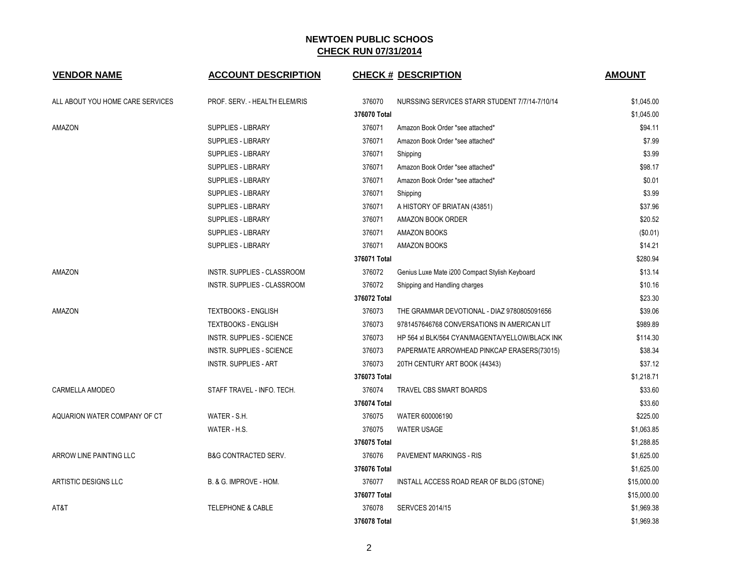| <b>VENDOR NAME</b>               | <b>ACCOUNT DESCRIPTION</b>       |              | <b>CHECK # DESCRIPTION</b>                      | <b>AMOUNT</b> |
|----------------------------------|----------------------------------|--------------|-------------------------------------------------|---------------|
| ALL ABOUT YOU HOME CARE SERVICES | PROF. SERV. - HEALTH ELEM/RIS    | 376070       | NURSSING SERVICES STARR STUDENT 7/7/14-7/10/14  | \$1,045.00    |
|                                  |                                  | 376070 Total |                                                 | \$1,045.00    |
| AMAZON                           | <b>SUPPLIES - LIBRARY</b>        | 376071       | Amazon Book Order *see attached*                | \$94.11       |
|                                  | <b>SUPPLIES - LIBRARY</b>        | 376071       | Amazon Book Order *see attached*                | \$7.99        |
|                                  | SUPPLIES - LIBRARY               | 376071       | Shipping                                        | \$3.99        |
|                                  | <b>SUPPLIES - LIBRARY</b>        | 376071       | Amazon Book Order *see attached*                | \$98.17       |
|                                  | <b>SUPPLIES - LIBRARY</b>        | 376071       | Amazon Book Order *see attached*                | \$0.01        |
|                                  | <b>SUPPLIES - LIBRARY</b>        | 376071       | Shipping                                        | \$3.99        |
|                                  | <b>SUPPLIES - LIBRARY</b>        | 376071       | A HISTORY OF BRIATAN (43851)                    | \$37.96       |
|                                  | <b>SUPPLIES - LIBRARY</b>        | 376071       | AMAZON BOOK ORDER                               | \$20.52       |
|                                  | <b>SUPPLIES - LIBRARY</b>        | 376071       | AMAZON BOOKS                                    | (\$0.01)      |
|                                  | <b>SUPPLIES - LIBRARY</b>        | 376071       | <b>AMAZON BOOKS</b>                             | \$14.21       |
|                                  |                                  | 376071 Total |                                                 | \$280.94      |
| AMAZON                           | INSTR. SUPPLIES - CLASSROOM      | 376072       | Genius Luxe Mate i200 Compact Stylish Keyboard  | \$13.14       |
|                                  | INSTR. SUPPLIES - CLASSROOM      | 376072       | Shipping and Handling charges                   | \$10.16       |
|                                  |                                  | 376072 Total |                                                 | \$23.30       |
| AMAZON                           | <b>TEXTBOOKS - ENGLISH</b>       | 376073       | THE GRAMMAR DEVOTIONAL - DIAZ 9780805091656     | \$39.06       |
|                                  | TEXTBOOKS - ENGLISH              | 376073       | 9781457646768 CONVERSATIONS IN AMERICAN LIT     | \$989.89      |
|                                  | <b>INSTR. SUPPLIES - SCIENCE</b> | 376073       | HP 564 xl BLK/564 CYAN/MAGENTA/YELLOW/BLACK INK | \$114.30      |
|                                  | <b>INSTR. SUPPLIES - SCIENCE</b> | 376073       | PAPERMATE ARROWHEAD PINKCAP ERASERS(73015)      | \$38.34       |
|                                  | <b>INSTR. SUPPLIES - ART</b>     | 376073       | 20TH CENTURY ART BOOK (44343)                   | \$37.12       |
|                                  |                                  | 376073 Total |                                                 | \$1,218.71    |
| CARMELLA AMODEO                  | STAFF TRAVEL - INFO. TECH.       | 376074       | <b>TRAVEL CBS SMART BOARDS</b>                  | \$33.60       |
|                                  |                                  | 376074 Total |                                                 | \$33.60       |
| AQUARION WATER COMPANY OF CT     | WATER - S.H.                     | 376075       | WATER 600006190                                 | \$225.00      |
|                                  | WATER - H.S.                     | 376075       | <b>WATER USAGE</b>                              | \$1,063.85    |
|                                  |                                  | 376075 Total |                                                 | \$1,288.85    |
| ARROW LINE PAINTING LLC          | <b>B&amp;G CONTRACTED SERV.</b>  | 376076       | <b>PAVEMENT MARKINGS - RIS</b>                  | \$1,625.00    |
|                                  |                                  | 376076 Total |                                                 | \$1,625.00    |
| ARTISTIC DESIGNS LLC             | B. & G. IMPROVE - HOM.           | 376077       | INSTALL ACCESS ROAD REAR OF BLDG (STONE)        | \$15,000.00   |
|                                  |                                  | 376077 Total |                                                 | \$15,000.00   |
| AT&T                             | <b>TELEPHONE &amp; CABLE</b>     | 376078       | SERVCES 2014/15                                 | \$1,969.38    |
|                                  |                                  | 376078 Total |                                                 | \$1,969.38    |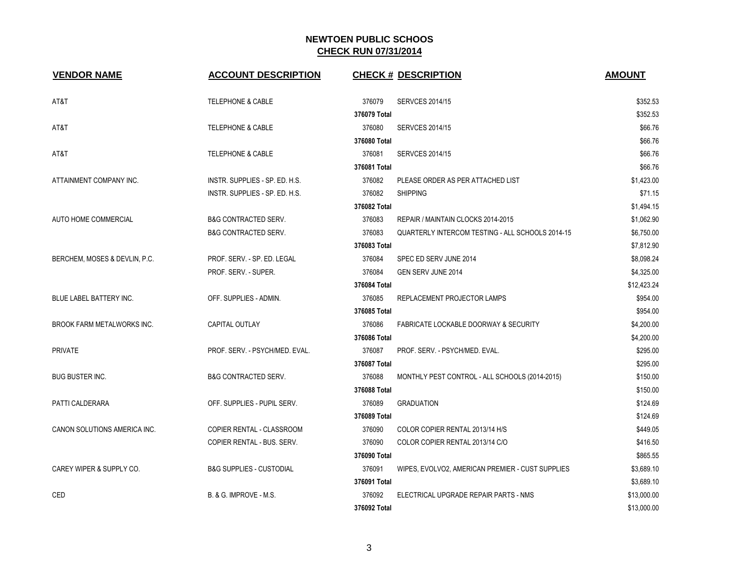| <b>VENDOR NAME</b>                | <b>ACCOUNT DESCRIPTION</b>          | <b>CHECK # DESCRIPTION</b>                                 | <b>AMOUNT</b> |
|-----------------------------------|-------------------------------------|------------------------------------------------------------|---------------|
| AT&T                              | <b>TELEPHONE &amp; CABLE</b>        | 376079<br><b>SERVCES 2014/15</b>                           | \$352.53      |
|                                   |                                     | 376079 Total                                               | \$352.53      |
| AT&T                              | <b>TELEPHONE &amp; CABLE</b>        | 376080<br><b>SERVCES 2014/15</b>                           | \$66.76       |
|                                   |                                     | 376080 Total                                               | \$66.76       |
| AT&T                              | <b>TELEPHONE &amp; CABLE</b>        | 376081<br><b>SERVCES 2014/15</b>                           | \$66.76       |
|                                   |                                     | 376081 Total                                               | \$66.76       |
| ATTAINMENT COMPANY INC.           | INSTR. SUPPLIES - SP. ED. H.S.      | 376082<br>PLEASE ORDER AS PER ATTACHED LIST                | \$1,423.00    |
|                                   | INSTR. SUPPLIES - SP. ED. H.S.      | 376082<br><b>SHIPPING</b>                                  | \$71.15       |
|                                   |                                     | 376082 Total                                               | \$1.494.15    |
| <b>AUTO HOME COMMERCIAL</b>       | <b>B&amp;G CONTRACTED SERV.</b>     | 376083<br>REPAIR / MAINTAIN CLOCKS 2014-2015               | \$1,062.90    |
|                                   | <b>B&amp;G CONTRACTED SERV.</b>     | 376083<br>QUARTERLY INTERCOM TESTING - ALL SCHOOLS 2014-15 | \$6,750.00    |
|                                   |                                     | 376083 Total                                               | \$7,812.90    |
| BERCHEM, MOSES & DEVLIN, P.C.     | PROF. SERV. - SP. ED. LEGAL         | 376084<br>SPEC ED SERV JUNE 2014                           | \$8,098.24    |
|                                   | PROF. SERV. - SUPER.                | 376084<br><b>GEN SERV JUNE 2014</b>                        | \$4,325.00    |
|                                   |                                     | 376084 Total                                               | \$12,423.24   |
| BLUE LABEL BATTERY INC.           | OFF. SUPPLIES - ADMIN.              | 376085<br>REPLACEMENT PROJECTOR LAMPS                      | \$954.00      |
|                                   |                                     | 376085 Total                                               | \$954.00      |
| <b>BROOK FARM METALWORKS INC.</b> | CAPITAL OUTLAY                      | 376086<br><b>FABRICATE LOCKABLE DOORWAY &amp; SECURITY</b> | \$4,200.00    |
|                                   |                                     | 376086 Total                                               | \$4,200.00    |
| <b>PRIVATE</b>                    | PROF. SERV. - PSYCH/MED. EVAL.      | 376087<br>PROF. SERV. - PSYCH/MED. EVAL.                   | \$295.00      |
|                                   |                                     | 376087 Total                                               | \$295.00      |
| <b>BUG BUSTER INC.</b>            | <b>B&amp;G CONTRACTED SERV.</b>     | 376088<br>MONTHLY PEST CONTROL - ALL SCHOOLS (2014-2015)   | \$150.00      |
|                                   |                                     | 376088 Total                                               | \$150.00      |
| PATTI CALDERARA                   | OFF. SUPPLIES - PUPIL SERV.         | 376089<br><b>GRADUATION</b>                                | \$124.69      |
|                                   |                                     | 376089 Total                                               | \$124.69      |
| CANON SOLUTIONS AMERICA INC.      | COPIER RENTAL - CLASSROOM           | 376090<br>COLOR COPIER RENTAL 2013/14 H/S                  | \$449.05      |
|                                   | COPIER RENTAL - BUS. SERV.          | 376090<br>COLOR COPIER RENTAL 2013/14 C/O                  | \$416.50      |
|                                   |                                     | 376090 Total                                               | \$865.55      |
| CAREY WIPER & SUPPLY CO.          | <b>B&amp;G SUPPLIES - CUSTODIAL</b> | 376091<br>WIPES, EVOLVO2, AMERICAN PREMIER - CUST SUPPLIES | \$3,689.10    |
|                                   |                                     | 376091 Total                                               | \$3,689.10    |
| <b>CED</b>                        | <b>B. &amp; G. IMPROVE - M.S.</b>   | 376092<br>ELECTRICAL UPGRADE REPAIR PARTS - NMS            | \$13,000.00   |
|                                   |                                     | 376092 Total                                               | \$13,000.00   |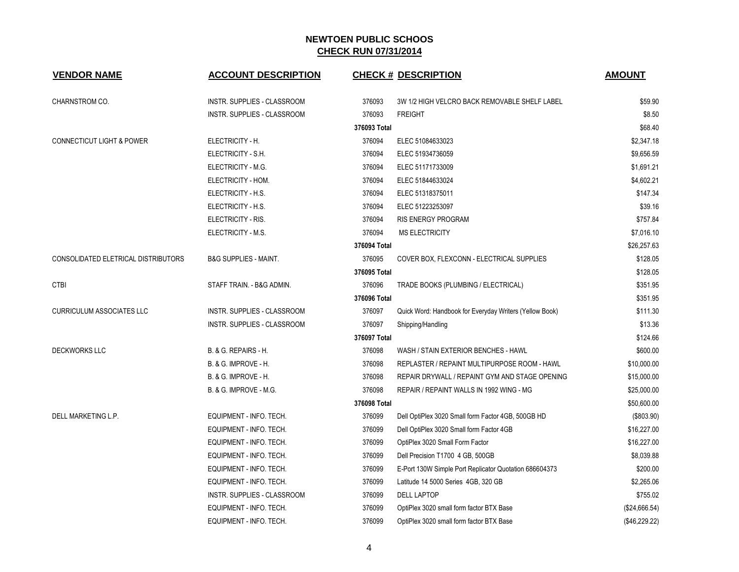| <b>VENDOR NAME</b>                   | <b>ACCOUNT DESCRIPTION</b>         |              | <b>CHECK # DESCRIPTION</b>                              | <b>AMOUNT</b> |
|--------------------------------------|------------------------------------|--------------|---------------------------------------------------------|---------------|
| CHARNSTROM CO.                       | INSTR. SUPPLIES - CLASSROOM        | 376093       | 3W 1/2 HIGH VELCRO BACK REMOVABLE SHELF LABEL           | \$59.90       |
|                                      | <b>INSTR. SUPPLIES - CLASSROOM</b> | 376093       | <b>FREIGHT</b>                                          | \$8.50        |
|                                      |                                    | 376093 Total |                                                         | \$68.40       |
| <b>CONNECTICUT LIGHT &amp; POWER</b> | ELECTRICITY - H.                   | 376094       | ELEC 51084633023                                        | \$2,347.18    |
|                                      | ELECTRICITY - S.H.                 | 376094       | ELEC 51934736059                                        | \$9,656.59    |
|                                      | ELECTRICITY - M.G.                 | 376094       | ELEC 51171733009                                        | \$1,691.21    |
|                                      | ELECTRICITY - HOM.                 | 376094       | ELEC 51844633024                                        | \$4,602.21    |
|                                      | ELECTRICITY - H.S.                 | 376094       | ELEC 51318375011                                        | \$147.34      |
|                                      | ELECTRICITY - H.S.                 | 376094       | ELEC 51223253097                                        | \$39.16       |
|                                      | ELECTRICITY - RIS.                 | 376094       | <b>RIS ENERGY PROGRAM</b>                               | \$757.84      |
|                                      | ELECTRICITY - M.S.                 | 376094       | <b>MS ELECTRICITY</b>                                   | \$7,016.10    |
|                                      |                                    | 376094 Total |                                                         | \$26,257.63   |
| CONSOLIDATED ELETRICAL DISTRIBUTORS  | <b>B&amp;G SUPPLIES - MAINT.</b>   | 376095       | COVER BOX, FLEXCONN - ELECTRICAL SUPPLIES               | \$128.05      |
|                                      |                                    | 376095 Total |                                                         | \$128.05      |
| <b>CTBI</b>                          | STAFF TRAIN. - B&G ADMIN.          | 376096       | TRADE BOOKS (PLUMBING / ELECTRICAL)                     | \$351.95      |
|                                      |                                    | 376096 Total |                                                         | \$351.95      |
| <b>CURRICULUM ASSOCIATES LLC</b>     | INSTR. SUPPLIES - CLASSROOM        | 376097       | Quick Word: Handbook for Everyday Writers (Yellow Book) | \$111.30      |
|                                      | INSTR. SUPPLIES - CLASSROOM        | 376097       | Shipping/Handling                                       | \$13.36       |
|                                      |                                    | 376097 Total |                                                         | \$124.66      |
| <b>DECKWORKS LLC</b>                 | <b>B. &amp; G. REPAIRS - H.</b>    | 376098       | WASH / STAIN EXTERIOR BENCHES - HAWL                    | \$600.00      |
|                                      | B. & G. IMPROVE - H.               | 376098       | REPLASTER / REPAINT MULTIPURPOSE ROOM - HAWL            | \$10,000.00   |
|                                      | B. & G. IMPROVE - H.               | 376098       | REPAIR DRYWALL / REPAINT GYM AND STAGE OPENING          | \$15,000.00   |
|                                      | B. & G. IMPROVE - M.G.             | 376098       | REPAIR / REPAINT WALLS IN 1992 WING - MG                | \$25,000.00   |
|                                      |                                    | 376098 Total |                                                         | \$50,600.00   |
| DELL MARKETING L.P.                  | EQUIPMENT - INFO. TECH.            | 376099       | Dell OptiPlex 3020 Small form Factor 4GB, 500GB HD      | (\$803.90)    |
|                                      | EQUIPMENT - INFO. TECH.            | 376099       | Dell OptiPlex 3020 Small form Factor 4GB                | \$16,227.00   |
|                                      | EQUIPMENT - INFO. TECH.            | 376099       | OptiPlex 3020 Small Form Factor                         | \$16,227.00   |
|                                      | EQUIPMENT - INFO. TECH.            | 376099       | Dell Precision T1700 4 GB, 500GB                        | \$8,039.88    |
|                                      | EQUIPMENT - INFO. TECH.            | 376099       | E-Port 130W Simple Port Replicator Quotation 686604373  | \$200.00      |
|                                      | EQUIPMENT - INFO. TECH.            | 376099       | Latitude 14 5000 Series 4GB, 320 GB                     | \$2,265.06    |
|                                      | INSTR. SUPPLIES - CLASSROOM        | 376099       | <b>DELL LAPTOP</b>                                      | \$755.02      |
|                                      | EQUIPMENT - INFO. TECH.            | 376099       | OptiPlex 3020 small form factor BTX Base                | (\$24,666.54) |
|                                      | EQUIPMENT - INFO. TECH.            | 376099       | OptiPlex 3020 small form factor BTX Base                | (\$46,229.22) |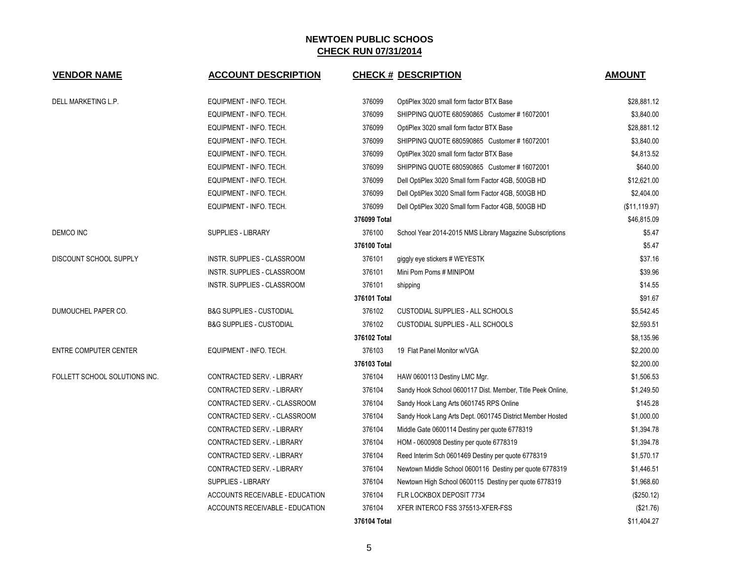| <b>VENDOR NAME</b>            | <b>ACCOUNT DESCRIPTION</b>          |              | <b>CHECK # DESCRIPTION</b>                                 | <b>AMOUNT</b> |
|-------------------------------|-------------------------------------|--------------|------------------------------------------------------------|---------------|
| DELL MARKETING L.P.           | EQUIPMENT - INFO. TECH.             | 376099       | OptiPlex 3020 small form factor BTX Base                   | \$28,881.12   |
|                               | EQUIPMENT - INFO. TECH.             | 376099       | SHIPPING QUOTE 680590865 Customer #16072001                | \$3,840.00    |
|                               | EQUIPMENT - INFO. TECH.             | 376099       | OptiPlex 3020 small form factor BTX Base                   | \$28,881.12   |
|                               | EQUIPMENT - INFO. TECH.             | 376099       | SHIPPING QUOTE 680590865 Customer #16072001                | \$3,840.00    |
|                               | EQUIPMENT - INFO. TECH.             | 376099       | OptiPlex 3020 small form factor BTX Base                   | \$4,813.52    |
|                               | EQUIPMENT - INFO. TECH.             | 376099       | SHIPPING QUOTE 680590865 Customer #16072001                | \$640.00      |
|                               | EQUIPMENT - INFO. TECH.             | 376099       | Dell OptiPlex 3020 Small form Factor 4GB, 500GB HD         | \$12,621.00   |
|                               | EQUIPMENT - INFO. TECH.             | 376099       | Dell OptiPlex 3020 Small form Factor 4GB, 500GB HD         | \$2,404.00    |
|                               | EQUIPMENT - INFO. TECH.             | 376099       | Dell OptiPlex 3020 Small form Factor 4GB, 500GB HD         | (\$11,119.97) |
|                               |                                     | 376099 Total |                                                            | \$46,815.09   |
| DEMCO INC                     | SUPPLIES - LIBRARY                  | 376100       | School Year 2014-2015 NMS Library Magazine Subscriptions   | \$5.47        |
|                               |                                     | 376100 Total |                                                            | \$5.47        |
| DISCOUNT SCHOOL SUPPLY        | INSTR. SUPPLIES - CLASSROOM         | 376101       | giggly eye stickers # WEYESTK                              | \$37.16       |
|                               | INSTR. SUPPLIES - CLASSROOM         | 376101       | Mini Pom Poms # MINIPOM                                    | \$39.96       |
|                               | INSTR. SUPPLIES - CLASSROOM         | 376101       | shipping                                                   | \$14.55       |
|                               |                                     | 376101 Total |                                                            | \$91.67       |
| DUMOUCHEL PAPER CO.           | <b>B&amp;G SUPPLIES - CUSTODIAL</b> | 376102       | <b>CUSTODIAL SUPPLIES - ALL SCHOOLS</b>                    | \$5,542.45    |
|                               | <b>B&amp;G SUPPLIES - CUSTODIAL</b> | 376102       | <b>CUSTODIAL SUPPLIES - ALL SCHOOLS</b>                    | \$2,593.51    |
|                               |                                     | 376102 Total |                                                            | \$8,135.96    |
| ENTRE COMPUTER CENTER         | EQUIPMENT - INFO. TECH.             | 376103       | 19 Flat Panel Monitor w/VGA                                | \$2,200.00    |
|                               |                                     | 376103 Total |                                                            | \$2,200.00    |
| FOLLETT SCHOOL SOLUTIONS INC. | CONTRACTED SERV. - LIBRARY          | 376104       | HAW 0600113 Destiny LMC Mgr.                               | \$1,506.53    |
|                               | CONTRACTED SERV. - LIBRARY          | 376104       | Sandy Hook School 0600117 Dist. Member, Title Peek Online, | \$1,249.50    |
|                               | CONTRACTED SERV. - CLASSROOM        | 376104       | Sandy Hook Lang Arts 0601745 RPS Online                    | \$145.28      |
|                               | CONTRACTED SERV. - CLASSROOM        | 376104       | Sandy Hook Lang Arts Dept. 0601745 District Member Hosted  | \$1,000.00    |
|                               | CONTRACTED SERV. - LIBRARY          | 376104       | Middle Gate 0600114 Destiny per quote 6778319              | \$1,394.78    |
|                               | CONTRACTED SERV. - LIBRARY          | 376104       | HOM - 0600908 Destiny per quote 6778319                    | \$1,394.78    |
|                               | CONTRACTED SERV. - LIBRARY          | 376104       | Reed Interim Sch 0601469 Destiny per quote 6778319         | \$1,570.17    |
|                               | CONTRACTED SERV. - LIBRARY          | 376104       | Newtown Middle School 0600116 Destiny per quote 6778319    | \$1,446.51    |
|                               | SUPPLIES - LIBRARY                  | 376104       | Newtown High School 0600115 Destiny per quote 6778319      | \$1,968.60    |
|                               | ACCOUNTS RECEIVABLE - EDUCATION     | 376104       | FLR LOCKBOX DEPOSIT 7734                                   | (\$250.12)    |
|                               | ACCOUNTS RECEIVABLE - EDUCATION     | 376104       | XFER INTERCO FSS 375513-XFER-FSS                           | (\$21.76)     |
|                               |                                     | 376104 Total |                                                            | \$11,404.27   |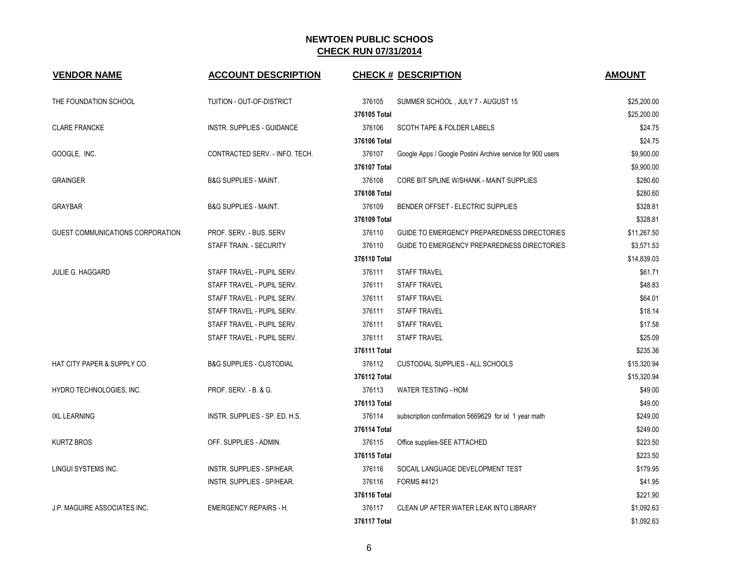| <b>VENDOR NAME</b>               | <b>ACCOUNT DESCRIPTION</b>          |              | <b>CHECK # DESCRIPTION</b>                                 | <b>AMOUNT</b> |
|----------------------------------|-------------------------------------|--------------|------------------------------------------------------------|---------------|
| THE FOUNDATION SCHOOL            | TUITION - OUT-OF-DISTRICT           | 376105       | SUMMER SCHOOL, JULY 7 - AUGUST 15                          | \$25,200.00   |
|                                  |                                     | 376105 Total |                                                            | \$25,200.00   |
| <b>CLARE FRANCKE</b>             | <b>INSTR. SUPPLIES - GUIDANCE</b>   | 376106       | <b>SCOTH TAPE &amp; FOLDER LABELS</b>                      | \$24.75       |
|                                  |                                     | 376106 Total |                                                            | \$24.75       |
| GOOGLE, INC.                     | CONTRACTED SERV. - INFO. TECH.      | 376107       | Google Apps / Google Postini Archive service for 900 users | \$9,900.00    |
|                                  |                                     | 376107 Total |                                                            | \$9,900.00    |
| <b>GRAINGER</b>                  | <b>B&amp;G SUPPLIES - MAINT.</b>    | 376108       | CORE BIT SPLINE W/SHANK - MAINT SUPPLIES                   | \$280.60      |
|                                  |                                     | 376108 Total |                                                            | \$280.60      |
| <b>GRAYBAR</b>                   | <b>B&amp;G SUPPLIES - MAINT.</b>    | 376109       | BENDER OFFSET - ELECTRIC SUPPLIES                          | \$328.81      |
|                                  |                                     | 376109 Total |                                                            | \$328.81      |
| GUEST COMMUNICATIONS CORPORATION | PROF. SERV. - BUS. SERV             | 376110       | GUIDE TO EMERGENCY PREPAREDNESS DIRECTORIES                | \$11,267.50   |
|                                  | STAFF TRAIN. - SECURITY             | 376110       | GUIDE TO EMERGENCY PREPAREDNESS DIRECTORIES                | \$3,571.53    |
|                                  |                                     | 376110 Total |                                                            | \$14,839.03   |
| <b>JULIE G. HAGGARD</b>          | STAFF TRAVEL - PUPIL SERV.          | 376111       | <b>STAFF TRAVEL</b>                                        | \$61.71       |
|                                  | STAFF TRAVEL - PUPIL SERV.          | 376111       | <b>STAFF TRAVEL</b>                                        | \$48.83       |
|                                  | STAFF TRAVEL - PUPIL SERV.          | 376111       | <b>STAFF TRAVEL</b>                                        | \$64.01       |
|                                  | STAFF TRAVEL - PUPIL SERV.          | 376111       | <b>STAFF TRAVEL</b>                                        | \$18.14       |
|                                  | STAFF TRAVEL - PUPIL SERV.          | 376111       | <b>STAFF TRAVEL</b>                                        | \$17.58       |
|                                  | STAFF TRAVEL - PUPIL SERV.          | 376111       | <b>STAFF TRAVEL</b>                                        | \$25.09       |
|                                  |                                     | 376111 Total |                                                            | \$235.36      |
| HAT CITY PAPER & SUPPLY CO.      | <b>B&amp;G SUPPLIES - CUSTODIAL</b> | 376112       | CUSTODIAL SUPPLIES - ALL SCHOOLS                           | \$15,320.94   |
|                                  |                                     | 376112 Total |                                                            | \$15,320.94   |
| HYDRO TECHNOLOGIES, INC.         | PROF. SERV. - B. & G.               | 376113       | WATER TESTING - HOM                                        | \$49.00       |
|                                  |                                     | 376113 Total |                                                            | \$49.00       |
| <b>IXL LEARNING</b>              | INSTR. SUPPLIES - SP. ED. H.S.      | 376114       | subscription confirmation 5669629 for ixl 1 year math      | \$249.00      |
|                                  |                                     | 376114 Total |                                                            | \$249.00      |
| KURTZ BROS                       | OFF. SUPPLIES - ADMIN.              | 376115       | Office supplies-SEE ATTACHED                               | \$223.50      |
|                                  |                                     | 376115 Total |                                                            | \$223.50      |
| LINGUI SYSTEMS INC.              | INSTR. SUPPLIES - SP/HEAR.          | 376116       | SOCAIL LANGUAGE DEVELOPMENT TEST                           | \$179.95      |
|                                  | <b>INSTR. SUPPLIES - SP/HEAR.</b>   | 376116       | FORMS #4121                                                | \$41.95       |
|                                  |                                     | 376116 Total |                                                            | \$221.90      |
| J.P. MAGUIRE ASSOCIATES INC.     | <b>EMERGENCY REPAIRS - H.</b>       | 376117       | CLEAN UP AFTER WATER LEAK INTO LIBRARY                     | \$1,092.63    |
|                                  |                                     | 376117 Total |                                                            | \$1,092.63    |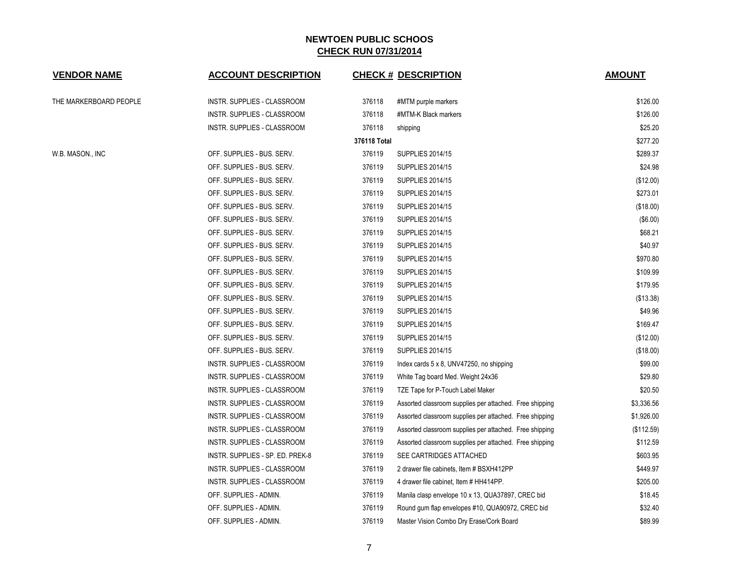| <b>VENDOR NAME</b>     | <b>ACCOUNT DESCRIPTION</b>       |              | <b>CHECK # DESCRIPTION</b>                              | <b>AMOUNT</b> |
|------------------------|----------------------------------|--------------|---------------------------------------------------------|---------------|
| THE MARKERBOARD PEOPLE | INSTR. SUPPLIES - CLASSROOM      | 376118       | #MTM purple markers                                     | \$126.00      |
|                        | INSTR. SUPPLIES - CLASSROOM      | 376118       | #MTM-K Black markers                                    | \$126.00      |
|                        | INSTR. SUPPLIES - CLASSROOM      | 376118       | shipping                                                | \$25.20       |
|                        |                                  | 376118 Total |                                                         | \$277.20      |
| W.B. MASON., INC       | OFF. SUPPLIES - BUS. SERV.       | 376119       | <b>SUPPLIES 2014/15</b>                                 | \$289.37      |
|                        | OFF. SUPPLIES - BUS. SERV.       | 376119       | <b>SUPPLIES 2014/15</b>                                 | \$24.98       |
|                        | OFF. SUPPLIES - BUS. SERV.       | 376119       | <b>SUPPLIES 2014/15</b>                                 | (\$12.00)     |
|                        | OFF. SUPPLIES - BUS. SERV.       | 376119       | <b>SUPPLIES 2014/15</b>                                 | \$273.01      |
|                        | OFF. SUPPLIES - BUS. SERV.       | 376119       | <b>SUPPLIES 2014/15</b>                                 | (\$18.00)     |
|                        | OFF. SUPPLIES - BUS. SERV.       | 376119       | <b>SUPPLIES 2014/15</b>                                 | (\$6.00)      |
|                        | OFF. SUPPLIES - BUS. SERV.       | 376119       | <b>SUPPLIES 2014/15</b>                                 | \$68.21       |
|                        | OFF. SUPPLIES - BUS. SERV.       | 376119       | <b>SUPPLIES 2014/15</b>                                 | \$40.97       |
|                        | OFF. SUPPLIES - BUS. SERV.       | 376119       | <b>SUPPLIES 2014/15</b>                                 | \$970.80      |
|                        | OFF. SUPPLIES - BUS. SERV.       | 376119       | <b>SUPPLIES 2014/15</b>                                 | \$109.99      |
|                        | OFF. SUPPLIES - BUS. SERV.       | 376119       | <b>SUPPLIES 2014/15</b>                                 | \$179.95      |
|                        | OFF. SUPPLIES - BUS. SERV.       | 376119       | <b>SUPPLIES 2014/15</b>                                 | (\$13.38)     |
|                        | OFF. SUPPLIES - BUS. SERV.       | 376119       | <b>SUPPLIES 2014/15</b>                                 | \$49.96       |
|                        | OFF. SUPPLIES - BUS. SERV.       | 376119       | <b>SUPPLIES 2014/15</b>                                 | \$169.47      |
|                        | OFF. SUPPLIES - BUS. SERV.       | 376119       | <b>SUPPLIES 2014/15</b>                                 | (\$12.00)     |
|                        | OFF. SUPPLIES - BUS. SERV.       | 376119       | <b>SUPPLIES 2014/15</b>                                 | (\$18.00)     |
|                        | INSTR. SUPPLIES - CLASSROOM      | 376119       | Index cards 5 x 8, UNV47250, no shipping                | \$99.00       |
|                        | INSTR. SUPPLIES - CLASSROOM      | 376119       | White Tag board Med. Weight 24x36                       | \$29.80       |
|                        | INSTR. SUPPLIES - CLASSROOM      | 376119       | TZE Tape for P-Touch Label Maker                        | \$20.50       |
|                        | INSTR. SUPPLIES - CLASSROOM      | 376119       | Assorted classroom supplies per attached. Free shipping | \$3,336.56    |
|                        | INSTR. SUPPLIES - CLASSROOM      | 376119       | Assorted classroom supplies per attached. Free shipping | \$1,926.00    |
|                        | INSTR. SUPPLIES - CLASSROOM      | 376119       | Assorted classroom supplies per attached. Free shipping | (\$112.59)    |
|                        | INSTR. SUPPLIES - CLASSROOM      | 376119       | Assorted classroom supplies per attached. Free shipping | \$112.59      |
|                        | INSTR. SUPPLIES - SP. ED. PREK-8 | 376119       | SEE CARTRIDGES ATTACHED                                 | \$603.95      |
|                        | INSTR. SUPPLIES - CLASSROOM      | 376119       | 2 drawer file cabinets, Item # BSXH412PP                | \$449.97      |
|                        | INSTR. SUPPLIES - CLASSROOM      | 376119       | 4 drawer file cabinet, Item # HH414PP.                  | \$205.00      |
|                        | OFF. SUPPLIES - ADMIN.           | 376119       | Manila clasp envelope 10 x 13, QUA37897, CREC bid       | \$18.45       |
|                        | OFF. SUPPLIES - ADMIN.           | 376119       | Round gum flap envelopes #10, QUA90972, CREC bid        | \$32.40       |
|                        | OFF. SUPPLIES - ADMIN.           | 376119       | Master Vision Combo Dry Erase/Cork Board                | \$89.99       |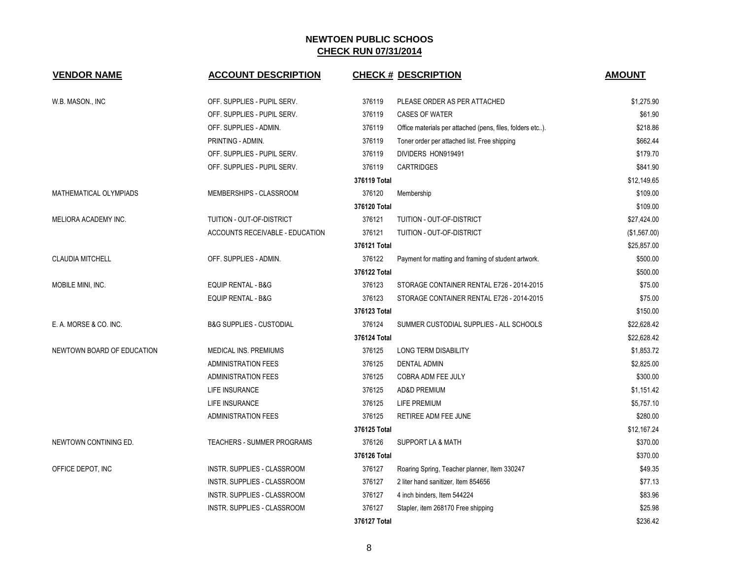| <b>VENDOR NAME</b>            | <b>ACCOUNT DESCRIPTION</b>          |              | <b>CHECK # DESCRIPTION</b>                                | <b>AMOUNT</b> |
|-------------------------------|-------------------------------------|--------------|-----------------------------------------------------------|---------------|
| W.B. MASON., INC              | OFF. SUPPLIES - PUPIL SERV.         | 376119       | PLEASE ORDER AS PER ATTACHED                              | \$1,275.90    |
|                               | OFF. SUPPLIES - PUPIL SERV.         | 376119       | <b>CASES OF WATER</b>                                     | \$61.90       |
|                               | OFF. SUPPLIES - ADMIN.              | 376119       | Office materials per attached (pens, files, folders etc). | \$218.86      |
|                               | PRINTING - ADMIN.                   | 376119       | Toner order per attached list. Free shipping              | \$662.44      |
|                               | OFF. SUPPLIES - PUPIL SERV.         | 376119       | DIVIDERS HON919491                                        | \$179.70      |
|                               | OFF. SUPPLIES - PUPIL SERV.         | 376119       | <b>CARTRIDGES</b>                                         | \$841.90      |
|                               |                                     | 376119 Total |                                                           | \$12,149.65   |
| <b>MATHEMATICAL OLYMPIADS</b> | MEMBERSHIPS - CLASSROOM             | 376120       | Membership                                                | \$109.00      |
|                               |                                     | 376120 Total |                                                           | \$109.00      |
| MELIORA ACADEMY INC.          | TUITION - OUT-OF-DISTRICT           | 376121       | TUITION - OUT-OF-DISTRICT                                 | \$27,424.00   |
|                               | ACCOUNTS RECEIVABLE - EDUCATION     | 376121       | TUITION - OUT-OF-DISTRICT                                 | (\$1,567.00)  |
|                               |                                     | 376121 Total |                                                           | \$25,857.00   |
| <b>CLAUDIA MITCHELL</b>       | OFF. SUPPLIES - ADMIN.              | 376122       | Payment for matting and framing of student artwork.       | \$500.00      |
|                               |                                     | 376122 Total |                                                           | \$500.00      |
| MOBILE MINI, INC.             | <b>EQUIP RENTAL - B&amp;G</b>       | 376123       | STORAGE CONTAINER RENTAL E726 - 2014-2015                 | \$75.00       |
|                               | EQUIP RENTAL - B&G                  | 376123       | STORAGE CONTAINER RENTAL E726 - 2014-2015                 | \$75.00       |
|                               |                                     | 376123 Total |                                                           | \$150.00      |
| E. A. MORSE & CO. INC.        | <b>B&amp;G SUPPLIES - CUSTODIAL</b> | 376124       | SUMMER CUSTODIAL SUPPLIES - ALL SCHOOLS                   | \$22,628.42   |
|                               |                                     | 376124 Total |                                                           | \$22,628.42   |
| NEWTOWN BOARD OF EDUCATION    | MEDICAL INS. PREMIUMS               | 376125       | <b>LONG TERM DISABILITY</b>                               | \$1,853.72    |
|                               | <b>ADMINISTRATION FEES</b>          | 376125       | <b>DENTAL ADMIN</b>                                       | \$2,825.00    |
|                               | <b>ADMINISTRATION FEES</b>          | 376125       | COBRA ADM FEE JULY                                        | \$300.00      |
|                               | <b>LIFE INSURANCE</b>               | 376125       | <b>AD&amp;D PREMIUM</b>                                   | \$1,151.42    |
|                               | LIFE INSURANCE                      | 376125       | LIFE PREMIUM                                              | \$5,757.10    |
|                               | <b>ADMINISTRATION FEES</b>          | 376125       | RETIREE ADM FEE JUNE                                      | \$280.00      |
|                               |                                     | 376125 Total |                                                           | \$12,167.24   |
| NEWTOWN CONTINING ED.         | <b>TEACHERS - SUMMER PROGRAMS</b>   | 376126       | <b>SUPPORT LA &amp; MATH</b>                              | \$370.00      |
|                               |                                     | 376126 Total |                                                           | \$370.00      |
| OFFICE DEPOT, INC             | INSTR. SUPPLIES - CLASSROOM         | 376127       | Roaring Spring, Teacher planner, Item 330247              | \$49.35       |
|                               | INSTR. SUPPLIES - CLASSROOM         | 376127       | 2 liter hand sanitizer, Item 854656                       | \$77.13       |
|                               | INSTR. SUPPLIES - CLASSROOM         | 376127       | 4 inch binders, Item 544224                               | \$83.96       |
|                               | INSTR. SUPPLIES - CLASSROOM         | 376127       | Stapler, item 268170 Free shipping                        | \$25.98       |
|                               |                                     | 376127 Total |                                                           | \$236.42      |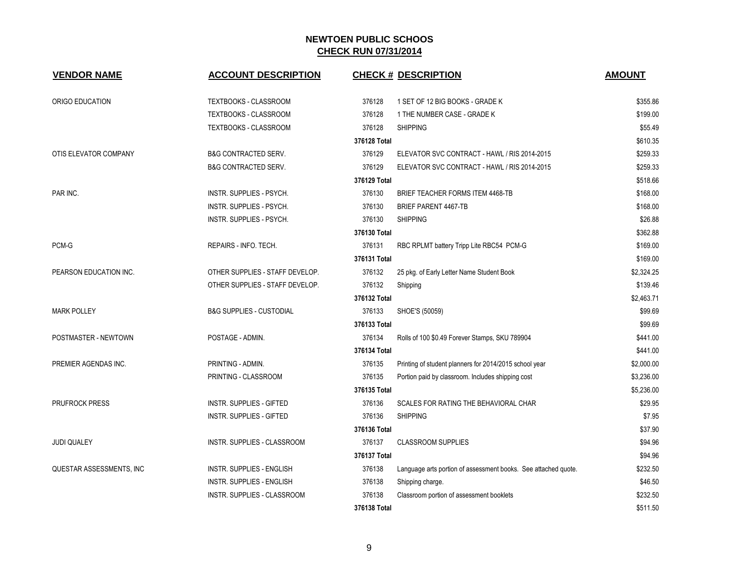| <b>VENDOR NAME</b>       | <b>ACCOUNT DESCRIPTION</b>          |              | <b>CHECK # DESCRIPTION</b>                                     | <b>AMOUNT</b> |
|--------------------------|-------------------------------------|--------------|----------------------------------------------------------------|---------------|
| ORIGO EDUCATION          | TEXTBOOKS - CLASSROOM               | 376128       | 1 SET OF 12 BIG BOOKS - GRADE K                                | \$355.86      |
|                          | TEXTBOOKS - CLASSROOM               | 376128       | 1 THE NUMBER CASE - GRADE K                                    | \$199.00      |
|                          | TEXTBOOKS - CLASSROOM               | 376128       | <b>SHIPPING</b>                                                | \$55.49       |
|                          |                                     | 376128 Total |                                                                | \$610.35      |
| OTIS ELEVATOR COMPANY    | <b>B&amp;G CONTRACTED SERV.</b>     | 376129       | ELEVATOR SVC CONTRACT - HAWL / RIS 2014-2015                   | \$259.33      |
|                          | <b>B&amp;G CONTRACTED SERV.</b>     | 376129       | ELEVATOR SVC CONTRACT - HAWL / RIS 2014-2015                   | \$259.33      |
|                          |                                     | 376129 Total |                                                                | \$518.66      |
| PAR INC.                 | INSTR. SUPPLIES - PSYCH.            | 376130       | BRIEF TEACHER FORMS ITEM 4468-TB                               | \$168.00      |
|                          | INSTR. SUPPLIES - PSYCH.            | 376130       | <b>BRIEF PARENT 4467-TB</b>                                    | \$168.00      |
|                          | INSTR. SUPPLIES - PSYCH.            | 376130       | <b>SHIPPING</b>                                                | \$26.88       |
|                          |                                     | 376130 Total |                                                                | \$362.88      |
| PCM-G                    | REPAIRS - INFO. TECH.               | 376131       | RBC RPLMT battery Tripp Lite RBC54 PCM-G                       | \$169.00      |
|                          |                                     | 376131 Total |                                                                | \$169.00      |
| PEARSON EDUCATION INC.   | OTHER SUPPLIES - STAFF DEVELOP.     | 376132       | 25 pkg. of Early Letter Name Student Book                      | \$2,324.25    |
|                          | OTHER SUPPLIES - STAFF DEVELOP.     | 376132       | Shipping                                                       | \$139.46      |
|                          |                                     | 376132 Total |                                                                | \$2,463.71    |
| <b>MARK POLLEY</b>       | <b>B&amp;G SUPPLIES - CUSTODIAL</b> | 376133       | SHOE'S (50059)                                                 | \$99.69       |
|                          |                                     | 376133 Total |                                                                | \$99.69       |
| POSTMASTER - NEWTOWN     | POSTAGE - ADMIN.                    | 376134       | Rolls of 100 \$0.49 Forever Stamps, SKU 789904                 | \$441.00      |
|                          |                                     | 376134 Total |                                                                | \$441.00      |
| PREMIER AGENDAS INC.     | PRINTING - ADMIN.                   | 376135       | Printing of student planners for 2014/2015 school year         | \$2,000.00    |
|                          | PRINTING - CLASSROOM                | 376135       | Portion paid by classroom. Includes shipping cost              | \$3,236.00    |
|                          |                                     | 376135 Total |                                                                | \$5,236.00    |
| <b>PRUFROCK PRESS</b>    | <b>INSTR. SUPPLIES - GIFTED</b>     | 376136       | SCALES FOR RATING THE BEHAVIORAL CHAR                          | \$29.95       |
|                          | <b>INSTR. SUPPLIES - GIFTED</b>     | 376136       | <b>SHIPPING</b>                                                | \$7.95        |
|                          |                                     | 376136 Total |                                                                | \$37.90       |
| <b>JUDI QUALEY</b>       | INSTR. SUPPLIES - CLASSROOM         | 376137       | <b>CLASSROOM SUPPLIES</b>                                      | \$94.96       |
|                          |                                     | 376137 Total |                                                                | \$94.96       |
| QUESTAR ASSESSMENTS, INC | <b>INSTR. SUPPLIES - ENGLISH</b>    | 376138       | Language arts portion of assessment books. See attached quote. | \$232.50      |
|                          | INSTR. SUPPLIES - ENGLISH           | 376138       | Shipping charge.                                               | \$46.50       |
|                          | <b>INSTR. SUPPLIES - CLASSROOM</b>  | 376138       | Classroom portion of assessment booklets                       | \$232.50      |
|                          |                                     | 376138 Total |                                                                | \$511.50      |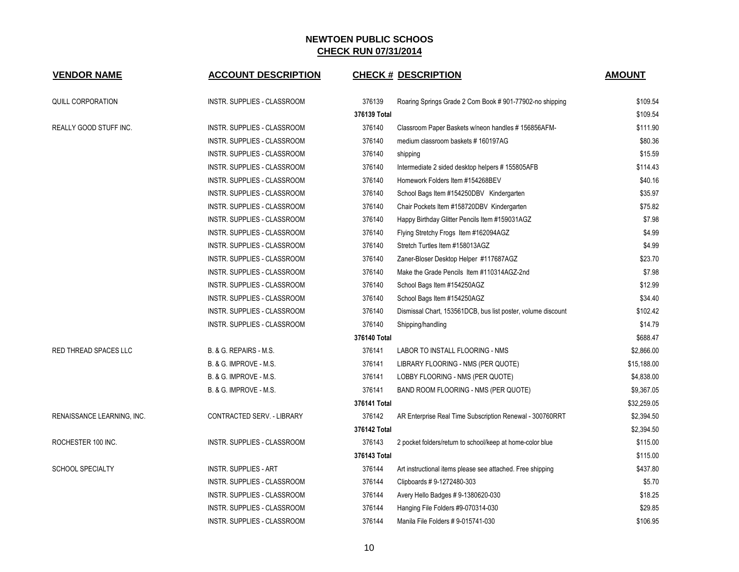| <b>VENDOR NAME</b>         | <b>ACCOUNT DESCRIPTION</b>   |              | <b>CHECK # DESCRIPTION</b>                                   | <b>AMOUNT</b> |
|----------------------------|------------------------------|--------------|--------------------------------------------------------------|---------------|
| <b>QUILL CORPORATION</b>   | INSTR. SUPPLIES - CLASSROOM  | 376139       | Roaring Springs Grade 2 Com Book #901-77902-no shipping      | \$109.54      |
|                            |                              | 376139 Total |                                                              | \$109.54      |
| REALLY GOOD STUFF INC.     | INSTR. SUPPLIES - CLASSROOM  | 376140       | Classroom Paper Baskets w/neon handles #156856AFM-           | \$111.90      |
|                            | INSTR. SUPPLIES - CLASSROOM  | 376140       | medium classroom baskets #160197AG                           | \$80.36       |
|                            | INSTR. SUPPLIES - CLASSROOM  | 376140       | shipping                                                     | \$15.59       |
|                            | INSTR. SUPPLIES - CLASSROOM  | 376140       | Intermediate 2 sided desktop helpers #155805AFB              | \$114.43      |
|                            | INSTR. SUPPLIES - CLASSROOM  | 376140       | Homework Folders Item #154268BEV                             | \$40.16       |
|                            | INSTR. SUPPLIES - CLASSROOM  | 376140       | School Bags Item #154250DBV Kindergarten                     | \$35.97       |
|                            | INSTR. SUPPLIES - CLASSROOM  | 376140       | Chair Pockets Item #158720DBV Kindergarten                   | \$75.82       |
|                            | INSTR. SUPPLIES - CLASSROOM  | 376140       | Happy Birthday Glitter Pencils Item #159031AGZ               | \$7.98        |
|                            | INSTR. SUPPLIES - CLASSROOM  | 376140       | Flying Stretchy Frogs Item #162094AGZ                        | \$4.99        |
|                            | INSTR. SUPPLIES - CLASSROOM  | 376140       | Stretch Turtles Item #158013AGZ                              | \$4.99        |
|                            | INSTR. SUPPLIES - CLASSROOM  | 376140       | Zaner-Bloser Desktop Helper #117687AGZ                       | \$23.70       |
|                            | INSTR. SUPPLIES - CLASSROOM  | 376140       | Make the Grade Pencils Item #110314AGZ-2nd                   | \$7.98        |
|                            | INSTR. SUPPLIES - CLASSROOM  | 376140       | School Bags Item #154250AGZ                                  | \$12.99       |
|                            | INSTR. SUPPLIES - CLASSROOM  | 376140       | School Bags Item #154250AGZ                                  | \$34.40       |
|                            | INSTR. SUPPLIES - CLASSROOM  | 376140       | Dismissal Chart, 153561DCB, bus list poster, volume discount | \$102.42      |
|                            | INSTR. SUPPLIES - CLASSROOM  | 376140       | Shipping/handling                                            | \$14.79       |
|                            |                              | 376140 Total |                                                              | \$688.47      |
| RED THREAD SPACES LLC      | B. & G. REPAIRS - M.S.       | 376141       | LABOR TO INSTALL FLOORING - NMS                              | \$2,866.00    |
|                            | B. & G. IMPROVE - M.S.       | 376141       | LIBRARY FLOORING - NMS (PER QUOTE)                           | \$15,188.00   |
|                            | B. & G. IMPROVE - M.S.       | 376141       | LOBBY FLOORING - NMS (PER QUOTE)                             | \$4,838.00    |
|                            | B. & G. IMPROVE - M.S.       | 376141       | BAND ROOM FLOORING - NMS (PER QUOTE)                         | \$9,367.05    |
|                            |                              | 376141 Total |                                                              | \$32,259.05   |
| RENAISSANCE LEARNING, INC. | CONTRACTED SERV. - LIBRARY   | 376142       | AR Enterprise Real Time Subscription Renewal - 300760RRT     | \$2,394.50    |
|                            |                              | 376142 Total |                                                              | \$2,394.50    |
| ROCHESTER 100 INC.         | INSTR. SUPPLIES - CLASSROOM  | 376143       | 2 pocket folders/return to school/keep at home-color blue    | \$115.00      |
|                            |                              | 376143 Total |                                                              | \$115.00      |
| <b>SCHOOL SPECIALTY</b>    | <b>INSTR. SUPPLIES - ART</b> | 376144       | Art instructional items please see attached. Free shipping   | \$437.80      |
|                            | INSTR. SUPPLIES - CLASSROOM  | 376144       | Clipboards #9-1272480-303                                    | \$5.70        |
|                            | INSTR. SUPPLIES - CLASSROOM  | 376144       | Avery Hello Badges # 9-1380620-030                           | \$18.25       |
|                            | INSTR. SUPPLIES - CLASSROOM  | 376144       | Hanging File Folders #9-070314-030                           | \$29.85       |
|                            | INSTR. SUPPLIES - CLASSROOM  | 376144       | Manila File Folders # 9-015741-030                           | \$106.95      |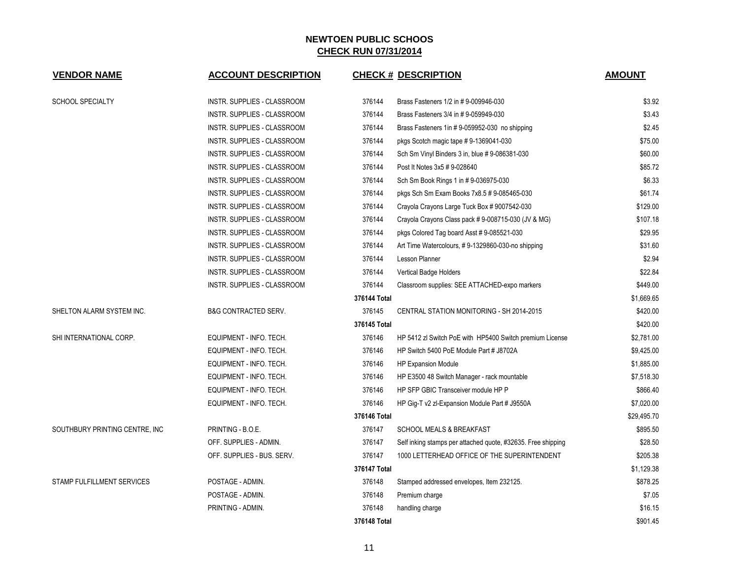| <b>VENDOR NAME</b>                | <b>ACCOUNT DESCRIPTION</b>      |              | <b>CHECK # DESCRIPTION</b>                                   | <b>AMOUNT</b> |
|-----------------------------------|---------------------------------|--------------|--------------------------------------------------------------|---------------|
| <b>SCHOOL SPECIALTY</b>           | INSTR. SUPPLIES - CLASSROOM     | 376144       | Brass Fasteners 1/2 in # 9-009946-030                        | \$3.92        |
|                                   | INSTR. SUPPLIES - CLASSROOM     | 376144       | Brass Fasteners 3/4 in #9-059949-030                         | \$3.43        |
|                                   | INSTR. SUPPLIES - CLASSROOM     | 376144       | Brass Fasteners 1in # 9-059952-030 no shipping               | \$2.45        |
|                                   | INSTR. SUPPLIES - CLASSROOM     | 376144       | pkgs Scotch magic tape #9-1369041-030                        | \$75.00       |
|                                   | INSTR. SUPPLIES - CLASSROOM     | 376144       | Sch Sm Vinyl Binders 3 in, blue #9-086381-030                | \$60.00       |
|                                   | INSTR. SUPPLIES - CLASSROOM     | 376144       | Post It Notes 3x5 # 9-028640                                 | \$85.72       |
|                                   | INSTR. SUPPLIES - CLASSROOM     | 376144       | Sch Sm Book Rings 1 in #9-036975-030                         | \$6.33        |
|                                   | INSTR. SUPPLIES - CLASSROOM     | 376144       | pkgs Sch Sm Exam Books 7x8.5 # 9-085465-030                  | \$61.74       |
|                                   | INSTR. SUPPLIES - CLASSROOM     | 376144       | Crayola Crayons Large Tuck Box # 9007542-030                 | \$129.00      |
|                                   | INSTR. SUPPLIES - CLASSROOM     | 376144       | Crayola Crayons Class pack #9-008715-030 (JV & MG)           | \$107.18      |
|                                   | INSTR. SUPPLIES - CLASSROOM     | 376144       | pkgs Colored Tag board Asst # 9-085521-030                   | \$29.95       |
|                                   | INSTR. SUPPLIES - CLASSROOM     | 376144       | Art Time Watercolours, #9-1329860-030-no shipping            | \$31.60       |
|                                   | INSTR. SUPPLIES - CLASSROOM     | 376144       | Lesson Planner                                               | \$2.94        |
|                                   | INSTR. SUPPLIES - CLASSROOM     | 376144       | Vertical Badge Holders                                       | \$22.84       |
|                                   | INSTR. SUPPLIES - CLASSROOM     | 376144       | Classroom supplies: SEE ATTACHED-expo markers                | \$449.00      |
|                                   |                                 | 376144 Total |                                                              | \$1,669.65    |
| SHELTON ALARM SYSTEM INC.         | <b>B&amp;G CONTRACTED SERV.</b> | 376145       | CENTRAL STATION MONITORING - SH 2014-2015                    | \$420.00      |
|                                   |                                 | 376145 Total |                                                              | \$420.00      |
| SHI INTERNATIONAL CORP.           | EQUIPMENT - INFO. TECH.         | 376146       | HP 5412 zl Switch PoE with HP5400 Switch premium License     | \$2,781.00    |
|                                   | EQUIPMENT - INFO. TECH.         | 376146       | HP Switch 5400 PoE Module Part # J8702A                      | \$9,425.00    |
|                                   | EQUIPMENT - INFO. TECH.         | 376146       | <b>HP Expansion Module</b>                                   | \$1,885.00    |
|                                   | EQUIPMENT - INFO. TECH.         | 376146       | HP E3500 48 Switch Manager - rack mountable                  | \$7,518.30    |
|                                   | EQUIPMENT - INFO. TECH.         | 376146       | HP SFP GBIC Transceiver module HP P                          | \$866.40      |
|                                   | EQUIPMENT - INFO. TECH.         | 376146       | HP Gig-T v2 zl-Expansion Module Part # J9550A                | \$7,020.00    |
|                                   |                                 | 376146 Total |                                                              | \$29,495.70   |
| SOUTHBURY PRINTING CENTRE, INC    | PRINTING - B.O.E.               | 376147       | <b>SCHOOL MEALS &amp; BREAKFAST</b>                          | \$895.50      |
|                                   | OFF. SUPPLIES - ADMIN.          | 376147       | Self inking stamps per attached quote, #32635. Free shipping | \$28.50       |
|                                   | OFF. SUPPLIES - BUS. SERV.      | 376147       | 1000 LETTERHEAD OFFICE OF THE SUPERINTENDENT                 | \$205.38      |
|                                   |                                 | 376147 Total |                                                              | \$1,129.38    |
| <b>STAMP FULFILLMENT SERVICES</b> | POSTAGE - ADMIN.                | 376148       | Stamped addressed envelopes, Item 232125.                    | \$878.25      |
|                                   | POSTAGE - ADMIN.                | 376148       | Premium charge                                               | \$7.05        |
|                                   | PRINTING - ADMIN.               | 376148       | handling charge                                              | \$16.15       |
|                                   |                                 | 376148 Total |                                                              | \$901.45      |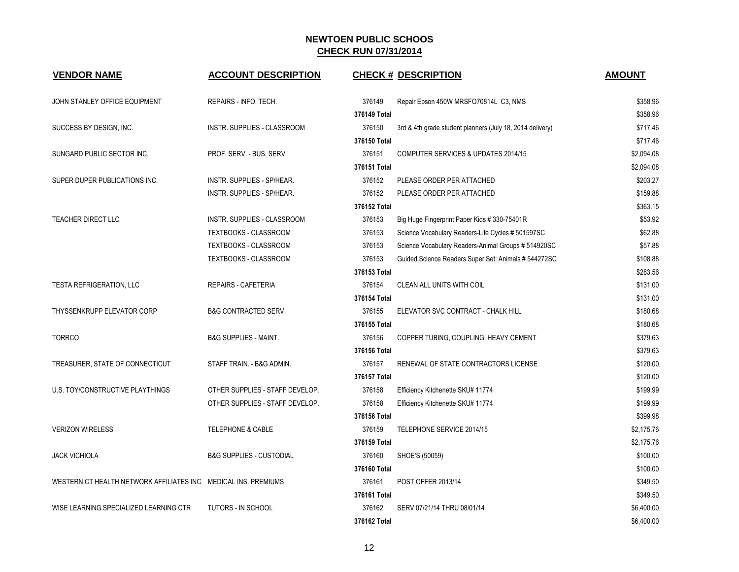| <b>VENDOR NAME</b>                                             | <b>ACCOUNT DESCRIPTION</b>          |              | <b>CHECK # DESCRIPTION</b>                                | <b>AMOUNT</b> |
|----------------------------------------------------------------|-------------------------------------|--------------|-----------------------------------------------------------|---------------|
| JOHN STANLEY OFFICE EQUIPMENT                                  | REPAIRS - INFO. TECH.               | 376149       | Repair Epson 450W MRSFO70814L C3, NMS                     | \$358.96      |
|                                                                |                                     | 376149 Total |                                                           | \$358.96      |
| SUCCESS BY DESIGN, INC.                                        | <b>INSTR. SUPPLIES - CLASSROOM</b>  | 376150       | 3rd & 4th grade student planners (July 18, 2014 delivery) | \$717.46      |
|                                                                |                                     | 376150 Total |                                                           | \$717.46      |
| SUNGARD PUBLIC SECTOR INC.                                     | PROF. SERV. - BUS. SERV             | 376151       | COMPUTER SERVICES & UPDATES 2014/15                       | \$2,094.08    |
|                                                                |                                     | 376151 Total |                                                           | \$2,094.08    |
| SUPER DUPER PUBLICATIONS INC.                                  | INSTR. SUPPLIES - SP/HEAR.          | 376152       | PLEASE ORDER PER ATTACHED                                 | \$203.27      |
|                                                                | INSTR. SUPPLIES - SP/HEAR.          | 376152       | PLEASE ORDER PER ATTACHED                                 | \$159.88      |
|                                                                |                                     | 376152 Total |                                                           | \$363.15      |
| <b>TEACHER DIRECT LLC</b>                                      | INSTR. SUPPLIES - CLASSROOM         | 376153       | Big Huge Fingerprint Paper Kids # 330-75401R              | \$53.92       |
|                                                                | <b>TEXTBOOKS - CLASSROOM</b>        | 376153       | Science Vocabulary Readers-Life Cycles # 501597SC         | \$62.88       |
|                                                                | TEXTBOOKS - CLASSROOM               | 376153       | Science Vocabulary Readers-Animal Groups # 514920SC       | \$57.88       |
|                                                                | TEXTBOOKS - CLASSROOM               | 376153       | Guided Science Readers Super Set: Animals # 544272SC      | \$108.88      |
|                                                                |                                     | 376153 Total |                                                           | \$283.56      |
| <b>TESTA REFRIGERATION, LLC</b>                                | REPAIRS - CAFETERIA                 | 376154       | CLEAN ALL UNITS WITH COIL                                 | \$131.00      |
|                                                                |                                     | 376154 Total |                                                           | \$131.00      |
| THYSSENKRUPP ELEVATOR CORP                                     | <b>B&amp;G CONTRACTED SERV.</b>     | 376155       | ELEVATOR SVC CONTRACT - CHALK HILL                        | \$180.68      |
|                                                                |                                     | 376155 Total |                                                           | \$180.68      |
| <b>TORRCO</b>                                                  | <b>B&amp;G SUPPLIES - MAINT.</b>    | 376156       | COPPER TUBING, COUPLING, HEAVY CEMENT                     | \$379.63      |
|                                                                |                                     | 376156 Total |                                                           | \$379.63      |
| TREASURER, STATE OF CONNECTICUT                                | STAFF TRAIN. - B&G ADMIN.           | 376157       | RENEWAL OF STATE CONTRACTORS LICENSE                      | \$120.00      |
|                                                                |                                     | 376157 Total |                                                           | \$120.00      |
| U.S. TOY/CONSTRUCTIVE PLAYTHINGS                               | OTHER SUPPLIES - STAFF DEVELOP.     | 376158       | Efficiency Kitchenette SKU# 11774                         | \$199.99      |
|                                                                | OTHER SUPPLIES - STAFF DEVELOP.     | 376158       | Efficiency Kitchenette SKU# 11774                         | \$199.99      |
|                                                                |                                     | 376158 Total |                                                           | \$399.98      |
| <b>VERIZON WIRELESS</b>                                        | <b>TELEPHONE &amp; CABLE</b>        | 376159       | TELEPHONE SERVICE 2014/15                                 | \$2,175.76    |
|                                                                |                                     | 376159 Total |                                                           | \$2,175.76    |
| <b>JACK VICHIOLA</b>                                           | <b>B&amp;G SUPPLIES - CUSTODIAL</b> | 376160       | SHOE'S (50059)                                            | \$100.00      |
|                                                                |                                     | 376160 Total |                                                           | \$100.00      |
| WESTERN CT HEALTH NETWORK AFFILIATES INC MEDICAL INS. PREMIUMS |                                     | 376161       | POST OFFER 2013/14                                        | \$349.50      |
|                                                                |                                     | 376161 Total |                                                           | \$349.50      |
| WISE LEARNING SPECIALIZED LEARNING CTR                         | TUTORS - IN SCHOOL                  | 376162       | SERV 07/21/14 THRU 08/01/14                               | \$6,400.00    |
|                                                                |                                     | 376162 Total |                                                           | \$6,400.00    |